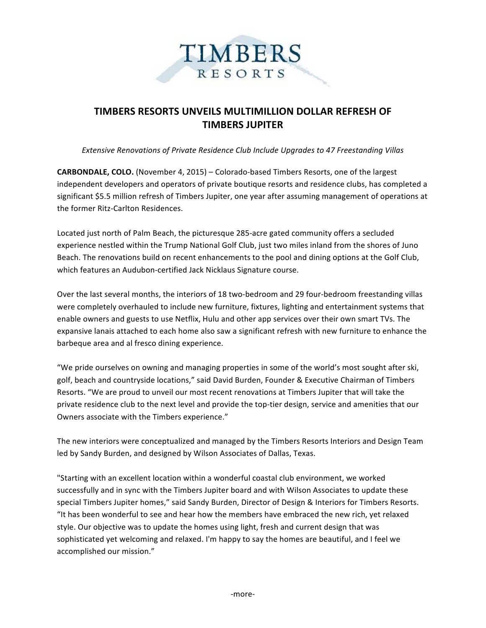

## **TIMBERS RESORTS UNVEILS MULTIMILLION DOLLAR REFRESH OF TIMBERS JUPITER**

*Extensive Renovations of Private Residence Club Include Upgrades to 47 Freestanding Villas*

**CARBONDALE, COLO.** (November 4, 2015) – Colorado-based Timbers Resorts, one of the largest independent developers and operators of private boutique resorts and residence clubs, has completed a significant \$5.5 million refresh of Timbers Jupiter, one year after assuming management of operations at the former Ritz-Carlton Residences.

Located just north of Palm Beach, the picturesque 285-acre gated community offers a secluded experience nestled within the Trump National Golf Club, just two miles inland from the shores of Juno Beach. The renovations build on recent enhancements to the pool and dining options at the Golf Club, which features an Audubon-certified Jack Nicklaus Signature course.

Over the last several months, the interiors of 18 two-bedroom and 29 four-bedroom freestanding villas were completely overhauled to include new furniture, fixtures, lighting and entertainment systems that enable owners and guests to use Netflix, Hulu and other app services over their own smart TVs. The expansive lanais attached to each home also saw a significant refresh with new furniture to enhance the barbeque area and al fresco dining experience.

"We pride ourselves on owning and managing properties in some of the world's most sought after ski, golf, beach and countryside locations," said David Burden, Founder & Executive Chairman of Timbers Resorts. "We are proud to unveil our most recent renovations at Timbers Jupiter that will take the private residence club to the next level and provide the top-tier design, service and amenities that our Owners associate with the Timbers experience."

The new interiors were conceptualized and managed by the Timbers Resorts Interiors and Design Team led by Sandy Burden, and designed by Wilson Associates of Dallas, Texas.

"Starting with an excellent location within a wonderful coastal club environment, we worked successfully and in sync with the Timbers Jupiter board and with Wilson Associates to update these special Timbers Jupiter homes," said Sandy Burden, Director of Design & Interiors for Timbers Resorts. "It has been wonderful to see and hear how the members have embraced the new rich, yet relaxed style. Our objective was to update the homes using light, fresh and current design that was sophisticated yet welcoming and relaxed. I'm happy to say the homes are beautiful, and I feel we accomplished our mission."